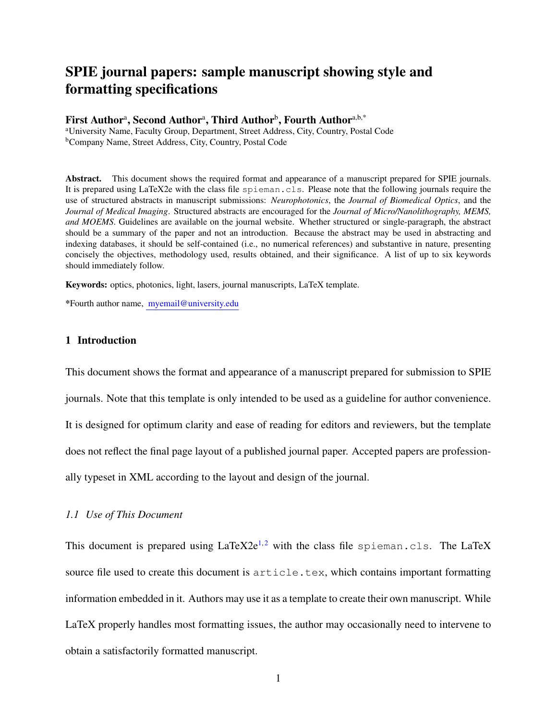# SPIE journal papers: sample manuscript showing style and formatting specifications

# First Author<sup>a</sup>, Second Author<sup>a</sup>, Third Author<sup>b</sup>, Fourth Author<sup>a,b,\*</sup>

<sup>a</sup>University Name, Faculty Group, Department, Street Address, City, Country, Postal Code <sup>b</sup>Company Name, Street Address, City, Country, Postal Code

Abstract. This document shows the required format and appearance of a manuscript prepared for SPIE journals. It is prepared using LaTeX2e with the class file spieman.cls. Please note that the following journals require the use of structured abstracts in manuscript submissions: *Neurophotonics*, the *Journal of Biomedical Optics*, and the *Journal of Medical Imaging*. Structured abstracts are encouraged for the *Journal of Micro/Nanolithography, MEMS, and MOEMS*. Guidelines are available on the journal website. Whether structured or single-paragraph, the abstract should be a summary of the paper and not an introduction. Because the abstract may be used in abstracting and indexing databases, it should be self-contained (i.e., no numerical references) and substantive in nature, presenting concisely the objectives, methodology used, results obtained, and their significance. A list of up to six keywords should immediately follow.

Keywords: optics, photonics, light, lasers, journal manuscripts, LaTeX template.

\*Fourth author name, myemail@university.edu

# 1 Introduction

This document shows the format and appearance of a manuscript prepared for submission to SPIE journals. Note that this template is only intended to be used as a guideline for author convenience. It is designed for optimum clarity and ease of reading for editors and reviewers, but the template does not reflect the final page layout of a published journal paper. Accepted papers are professionally typeset in XML according to the layout and design of the journal.

# *1.1 Use of This Document*

This document is prepared using  $LaTeX2e^{1,2}$  $LaTeX2e^{1,2}$  $LaTeX2e^{1,2}$  $LaTeX2e^{1,2}$  with the class file spieman.cls. The LaTeX source file used to create this document is  $article.tex$ , which contains important formatting information embedded in it. Authors may use it as a template to create their own manuscript. While LaTeX properly handles most formatting issues, the author may occasionally need to intervene to obtain a satisfactorily formatted manuscript.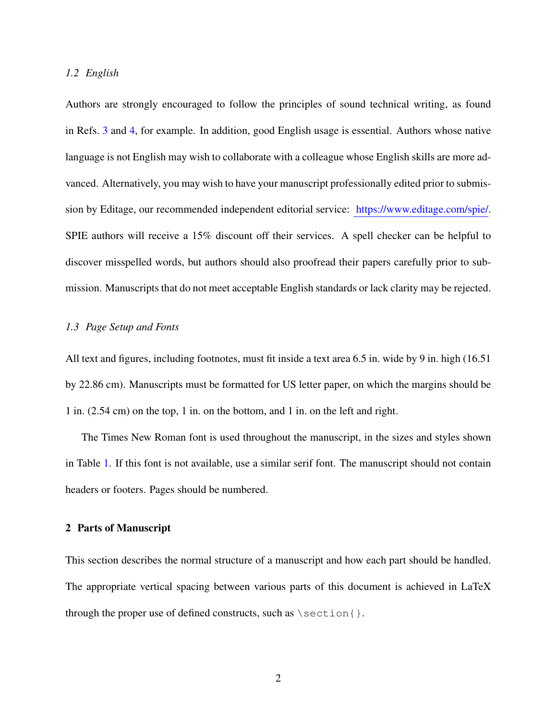## *1.2 English*

Authors are strongly encouraged to follow the principles of sound technical writing, as found in Refs. [3](#page-12-2) and [4,](#page-12-3) for example. In addition, good English usage is essential. Authors whose native language is not English may wish to collaborate with a colleague whose English skills are more advanced. Alternatively, you may wish to have your manuscript professionally edited prior to submission by Editage, our recommended independent editorial service: https://www.editage.com/spie/. SPIE authors will receive a 15% discount off their services. A spell checker can be helpful to discover misspelled words, but authors should also proofread their papers carefully prior to submission. Manuscripts that do not meet acceptable English standards or lack clarity may be rejected.

# *1.3 Page Setup and Fonts*

All text and figures, including footnotes, must fit inside a text area 6.5 in. wide by 9 in. high (16.51 by 22.86 cm). Manuscripts must be formatted for US letter paper, on which the margins should be 1 in. (2.54 cm) on the top, 1 in. on the bottom, and 1 in. on the left and right.

The Times New Roman font is used throughout the manuscript, in the sizes and styles shown in Table [1.](#page-2-0) If this font is not available, use a similar serif font. The manuscript should not contain headers or footers. Pages should be numbered.

# 2 Parts of Manuscript

This section describes the normal structure of a manuscript and how each part should be handled. The appropriate vertical spacing between various parts of this document is achieved in LaTeX through the proper use of defined constructs, such as  $\setminus$  section{}.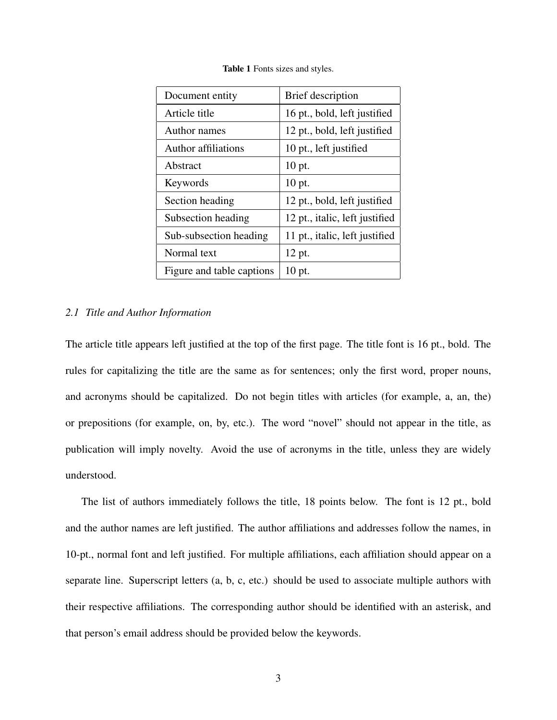| Document entity           | Brief description              |
|---------------------------|--------------------------------|
| Article title             | 16 pt., bold, left justified   |
| Author names              | 12 pt., bold, left justified   |
| Author affiliations       | 10 pt., left justified         |
| Abstract                  | 10 pt.                         |
| Keywords                  | 10 pt.                         |
| Section heading           | 12 pt., bold, left justified   |
| Subsection heading        | 12 pt., italic, left justified |
| Sub-subsection heading    | 11 pt., italic, left justified |
| Normal text               | 12 pt.                         |
| Figure and table captions | 10 pt.                         |

<span id="page-2-0"></span>Table 1 Fonts sizes and styles.

#### *2.1 Title and Author Information*

The article title appears left justified at the top of the first page. The title font is 16 pt., bold. The rules for capitalizing the title are the same as for sentences; only the first word, proper nouns, and acronyms should be capitalized. Do not begin titles with articles (for example, a, an, the) or prepositions (for example, on, by, etc.). The word "novel" should not appear in the title, as publication will imply novelty. Avoid the use of acronyms in the title, unless they are widely understood.

The list of authors immediately follows the title, 18 points below. The font is 12 pt., bold and the author names are left justified. The author affiliations and addresses follow the names, in 10-pt., normal font and left justified. For multiple affiliations, each affiliation should appear on a separate line. Superscript letters (a, b, c, etc.) should be used to associate multiple authors with their respective affiliations. The corresponding author should be identified with an asterisk, and that person's email address should be provided below the keywords.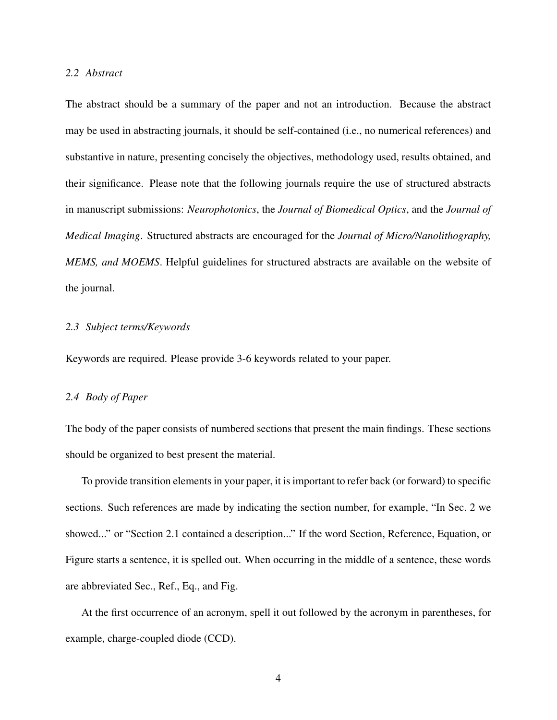#### *2.2 Abstract*

The abstract should be a summary of the paper and not an introduction. Because the abstract may be used in abstracting journals, it should be self-contained (i.e., no numerical references) and substantive in nature, presenting concisely the objectives, methodology used, results obtained, and their significance. Please note that the following journals require the use of structured abstracts in manuscript submissions: *Neurophotonics*, the *Journal of Biomedical Optics*, and the *Journal of Medical Imaging*. Structured abstracts are encouraged for the *Journal of Micro/Nanolithography, MEMS, and MOEMS*. Helpful guidelines for structured abstracts are available on the website of the journal.

# *2.3 Subject terms/Keywords*

Keywords are required. Please provide 3-6 keywords related to your paper.

# *2.4 Body of Paper*

The body of the paper consists of numbered sections that present the main findings. These sections should be organized to best present the material.

To provide transition elements in your paper, it is important to refer back (or forward) to specific sections. Such references are made by indicating the section number, for example, "In Sec. 2 we showed..." or "Section 2.1 contained a description..." If the word Section, Reference, Equation, or Figure starts a sentence, it is spelled out. When occurring in the middle of a sentence, these words are abbreviated Sec., Ref., Eq., and Fig.

At the first occurrence of an acronym, spell it out followed by the acronym in parentheses, for example, charge-coupled diode (CCD).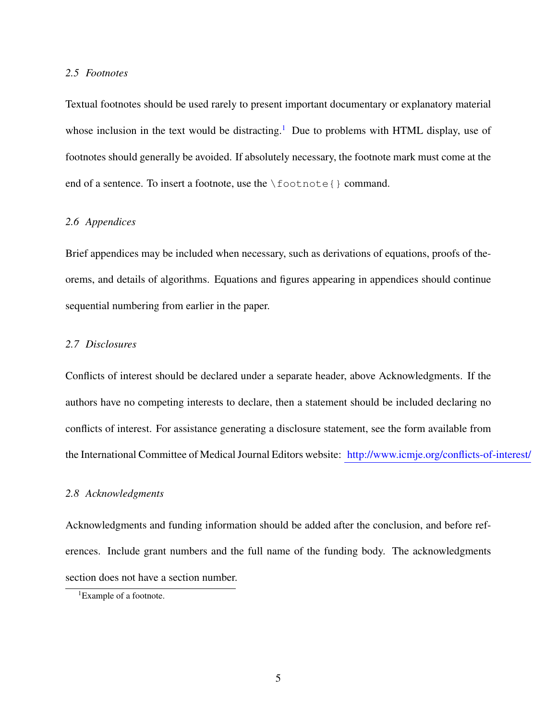#### *2.5 Footnotes*

Textual footnotes should be used rarely to present important documentary or explanatory material whose inclusion in the text would be distracting.<sup>[1](#page-4-0)</sup> Due to problems with HTML display, use of footnotes should generally be avoided. If absolutely necessary, the footnote mark must come at the end of a sentence. To insert a footnote, use the  $\setminus$  footnote  $\set$  command.

# *2.6 Appendices*

Brief appendices may be included when necessary, such as derivations of equations, proofs of theorems, and details of algorithms. Equations and figures appearing in appendices should continue sequential numbering from earlier in the paper.

## *2.7 Disclosures*

Conflicts of interest should be declared under a separate header, above Acknowledgments. If the authors have no competing interests to declare, then a statement should be included declaring no conflicts of interest. For assistance generating a disclosure statement, see the form available from the International Committee of Medical Journal Editors website: http://www.icmje.org/conflicts-of-interest/

#### *2.8 Acknowledgments*

Acknowledgments and funding information should be added after the conclusion, and before references. Include grant numbers and the full name of the funding body. The acknowledgments section does not have a section number.

<span id="page-4-0"></span><sup>&</sup>lt;sup>1</sup>Example of a footnote.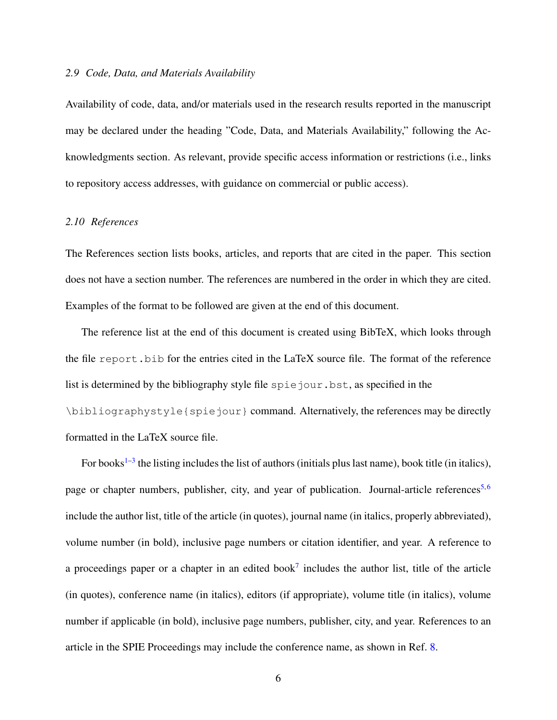#### *2.9 Code, Data, and Materials Availability*

Availability of code, data, and/or materials used in the research results reported in the manuscript may be declared under the heading "Code, Data, and Materials Availability," following the Acknowledgments section. As relevant, provide specific access information or restrictions (i.e., links to repository access addresses, with guidance on commercial or public access).

#### *2.10 References*

The References section lists books, articles, and reports that are cited in the paper. This section does not have a section number. The references are numbered in the order in which they are cited. Examples of the format to be followed are given at the end of this document.

The reference list at the end of this document is created using BibTeX, which looks through the file report.bib for the entries cited in the LaTeX source file. The format of the reference list is determined by the bibliography style file spiejour.bst, as specified in the \bibliographystyle{spiejour} command. Alternatively, the references may be directly formatted in the LaTeX source file.

For books<sup>[1–](#page-12-0)[3](#page-12-2)</sup> the listing includes the list of authors (initials plus last name), book title (in italics), page or chapter numbers, publisher, city, and year of publication. Journal-article references<sup>[5,](#page-12-4)[6](#page-13-0)</sup> include the author list, title of the article (in quotes), journal name (in italics, properly abbreviated), volume number (in bold), inclusive page numbers or citation identifier, and year. A reference to a proceedings paper or a chapter in an edited book<sup>[7](#page-13-1)</sup> includes the author list, title of the article (in quotes), conference name (in italics), editors (if appropriate), volume title (in italics), volume number if applicable (in bold), inclusive page numbers, publisher, city, and year. References to an article in the SPIE Proceedings may include the conference name, as shown in Ref. [8.](#page-13-2)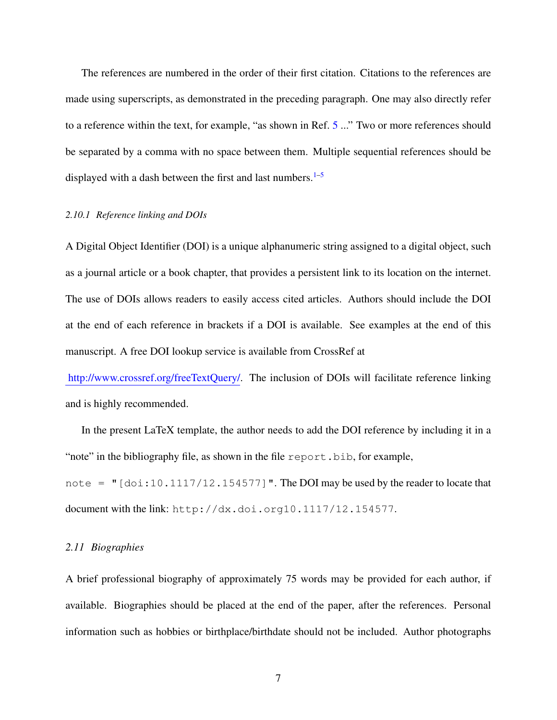The references are numbered in the order of their first citation. Citations to the references are made using superscripts, as demonstrated in the preceding paragraph. One may also directly refer to a reference within the text, for example, "as shown in Ref. [5](#page-12-4) ..." Two or more references should be separated by a comma with no space between them. Multiple sequential references should be displayed with a dash between the first and last numbers. $1-5$  $1-5$ 

# *2.10.1 Reference linking and DOIs*

A Digital Object Identifier (DOI) is a unique alphanumeric string assigned to a digital object, such as a journal article or a book chapter, that provides a persistent link to its location on the internet. The use of DOIs allows readers to easily access cited articles. Authors should include the DOI at the end of each reference in brackets if a DOI is available. See examples at the end of this manuscript. A free DOI lookup service is available from CrossRef at

http://www.crossref.org/freeTextQuery/. The inclusion of DOIs will facilitate reference linking and is highly recommended.

In the present LaTeX template, the author needs to add the DOI reference by including it in a "note" in the bibliography file, as shown in the file report. bib, for example, note =  $" [doi:10.1117/12.154577]'$ . The DOI may be used by the reader to locate that

document with the link: http://dx.doi.org10.1117/12.154577.

#### *2.11 Biographies*

A brief professional biography of approximately 75 words may be provided for each author, if available. Biographies should be placed at the end of the paper, after the references. Personal information such as hobbies or birthplace/birthdate should not be included. Author photographs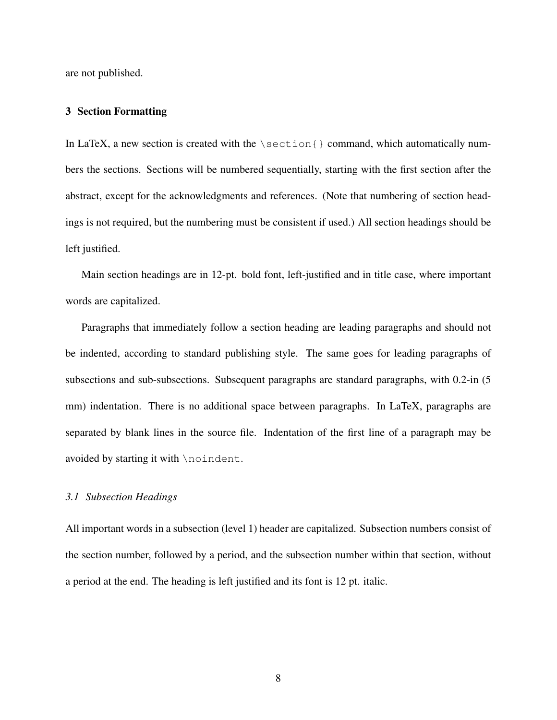are not published.

# 3 Section Formatting

In LaTeX, a new section is created with the  $\setminus$  section  $\setminus$  command, which automatically numbers the sections. Sections will be numbered sequentially, starting with the first section after the abstract, except for the acknowledgments and references. (Note that numbering of section headings is not required, but the numbering must be consistent if used.) All section headings should be left justified.

Main section headings are in 12-pt. bold font, left-justified and in title case, where important words are capitalized.

Paragraphs that immediately follow a section heading are leading paragraphs and should not be indented, according to standard publishing style. The same goes for leading paragraphs of subsections and sub-subsections. Subsequent paragraphs are standard paragraphs, with 0.2-in (5 mm) indentation. There is no additional space between paragraphs. In LaTeX, paragraphs are separated by blank lines in the source file. Indentation of the first line of a paragraph may be avoided by starting it with \noindent.

#### *3.1 Subsection Headings*

All important words in a subsection (level 1) header are capitalized. Subsection numbers consist of the section number, followed by a period, and the subsection number within that section, without a period at the end. The heading is left justified and its font is 12 pt. italic.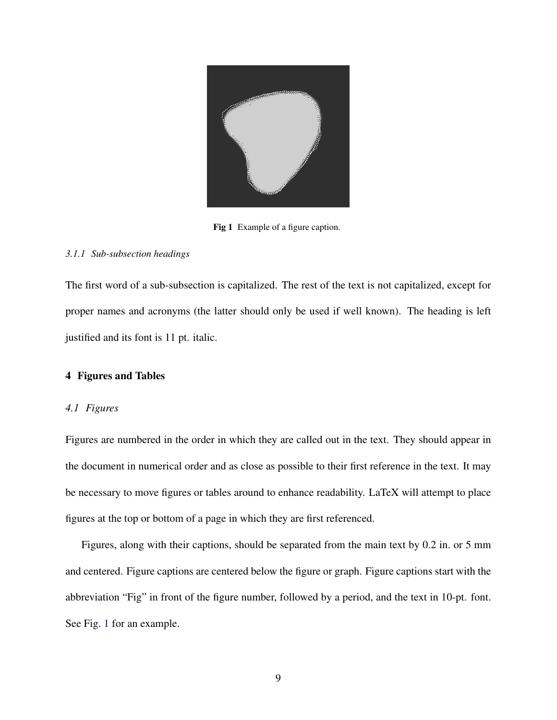<span id="page-8-0"></span>

Fig 1 Example of a figure caption.

#### *3.1.1 Sub-subsection headings*

The first word of a sub-subsection is capitalized. The rest of the text is not capitalized, except for proper names and acronyms (the latter should only be used if well known). The heading is left justified and its font is 11 pt. italic.

# 4 Figures and Tables

# *4.1 Figures*

Figures are numbered in the order in which they are called out in the text. They should appear in the document in numerical order and as close as possible to their first reference in the text. It may be necessary to move figures or tables around to enhance readability. LaTeX will attempt to place figures at the top or bottom of a page in which they are first referenced.

Figures, along with their captions, should be separated from the main text by 0.2 in. or 5 mm and centered. Figure captions are centered below the figure or graph. Figure captions start with the abbreviation "Fig" in front of the figure number, followed by a period, and the text in 10-pt. font. See Fig. [1](#page-8-0) for an example.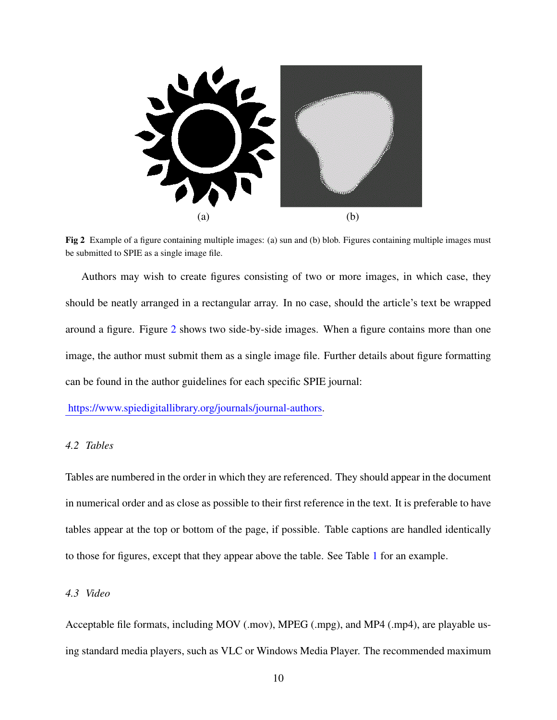

<span id="page-9-0"></span>Fig 2 Example of a figure containing multiple images: (a) sun and (b) blob. Figures containing multiple images must be submitted to SPIE as a single image file.

Authors may wish to create figures consisting of two or more images, in which case, they should be neatly arranged in a rectangular array. In no case, should the article's text be wrapped around a figure. Figure [2](#page-9-0) shows two side-by-side images. When a figure contains more than one image, the author must submit them as a single image file. Further details about figure formatting can be found in the author guidelines for each specific SPIE journal:

https://www.spiedigitallibrary.org/journals/journal-authors.

# *4.2 Tables*

Tables are numbered in the order in which they are referenced. They should appear in the document in numerical order and as close as possible to their first reference in the text. It is preferable to have tables appear at the top or bottom of the page, if possible. Table captions are handled identically to those for figures, except that they appear above the table. See Table [1](#page-2-0) for an example.

#### *4.3 Video*

Acceptable file formats, including MOV (.mov), MPEG (.mpg), and MP4 (.mp4), are playable using standard media players, such as VLC or Windows Media Player. The recommended maximum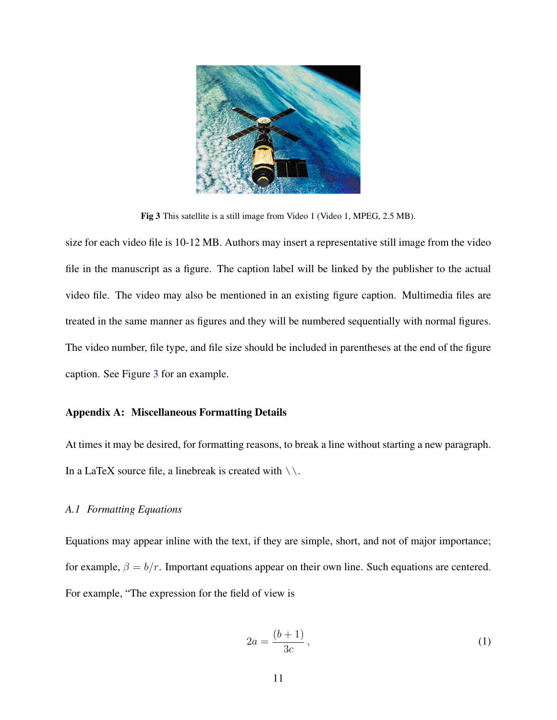

Fig 3 This satellite is a still image from Video 1 (Video 1, MPEG, 2.5 MB).

<span id="page-10-0"></span>size for each video file is 10-12 MB. Authors may insert a representative still image from the video file in the manuscript as a figure. The caption label will be linked by the publisher to the actual video file. The video may also be mentioned in an existing figure caption. Multimedia files are treated in the same manner as figures and they will be numbered sequentially with normal figures. The video number, file type, and file size should be included in parentheses at the end of the figure caption. See Figure [3](#page-10-0) for an example.

# Appendix A: Miscellaneous Formatting Details

At times it may be desired, for formatting reasons, to break a line without starting a new paragraph. In a LaTeX source file, a linebreak is created with  $\setminus \setminus$ .

#### *A.1 Formatting Equations*

Equations may appear inline with the text, if they are simple, short, and not of major importance; for example,  $\beta = b/r$ . Important equations appear on their own line. Such equations are centered. For example, "The expression for the field of view is

<span id="page-10-1"></span>
$$
2a = \frac{(b+1)}{3c},\tag{1}
$$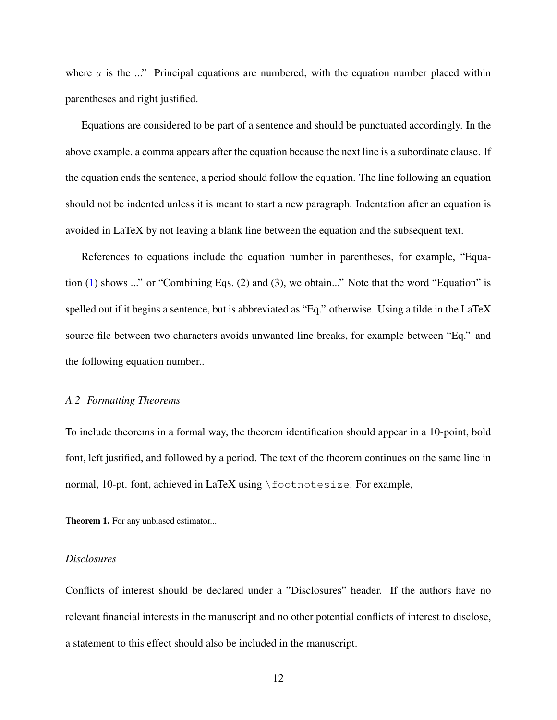where  $\alpha$  is the ..." Principal equations are numbered, with the equation number placed within parentheses and right justified.

Equations are considered to be part of a sentence and should be punctuated accordingly. In the above example, a comma appears after the equation because the next line is a subordinate clause. If the equation ends the sentence, a period should follow the equation. The line following an equation should not be indented unless it is meant to start a new paragraph. Indentation after an equation is avoided in LaTeX by not leaving a blank line between the equation and the subsequent text.

References to equations include the equation number in parentheses, for example, "Equation [\(1\)](#page-10-1) shows ..." or "Combining Eqs. (2) and (3), we obtain..." Note that the word "Equation" is spelled out if it begins a sentence, but is abbreviated as "Eq." otherwise. Using a tilde in the LaTeX source file between two characters avoids unwanted line breaks, for example between "Eq." and the following equation number..

#### *A.2 Formatting Theorems*

To include theorems in a formal way, the theorem identification should appear in a 10-point, bold font, left justified, and followed by a period. The text of the theorem continues on the same line in normal, 10-pt. font, achieved in LaTeX using \footnotesize. For example,

Theorem 1. For any unbiased estimator...

#### *Disclosures*

Conflicts of interest should be declared under a "Disclosures" header. If the authors have no relevant financial interests in the manuscript and no other potential conflicts of interest to disclose, a statement to this effect should also be included in the manuscript.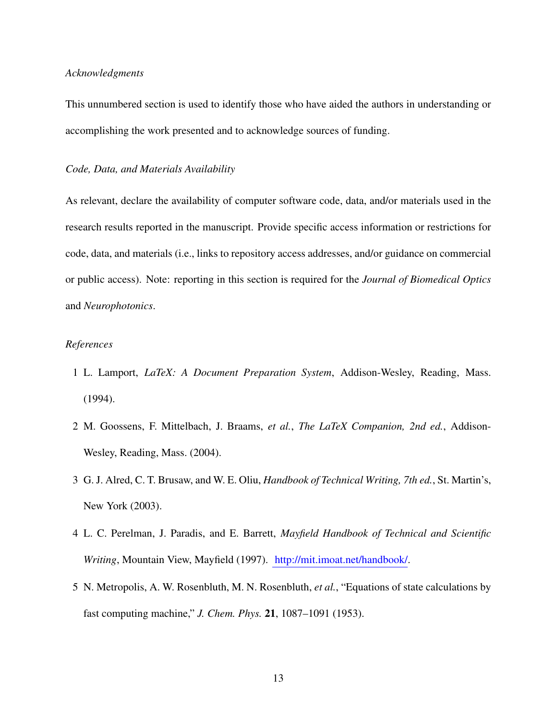# *Acknowledgments*

This unnumbered section is used to identify those who have aided the authors in understanding or accomplishing the work presented and to acknowledge sources of funding.

#### *Code, Data, and Materials Availability*

As relevant, declare the availability of computer software code, data, and/or materials used in the research results reported in the manuscript. Provide specific access information or restrictions for code, data, and materials (i.e., links to repository access addresses, and/or guidance on commercial or public access). Note: reporting in this section is required for the *Journal of Biomedical Optics* and *Neurophotonics*.

# *References*

- <span id="page-12-0"></span>1 L. Lamport, *LaTeX: A Document Preparation System*, Addison-Wesley, Reading, Mass. (1994).
- <span id="page-12-1"></span>2 M. Goossens, F. Mittelbach, J. Braams, *et al.*, *The LaTeX Companion, 2nd ed.*, Addison-Wesley, Reading, Mass. (2004).
- <span id="page-12-2"></span>3 G. J. Alred, C. T. Brusaw, and W. E. Oliu, *Handbook of Technical Writing, 7th ed.*, St. Martin's, New York (2003).
- <span id="page-12-3"></span>4 L. C. Perelman, J. Paradis, and E. Barrett, *Mayfield Handbook of Technical and Scientific Writing*, Mountain View, Mayfield (1997). http://mit.imoat.net/handbook/.
- <span id="page-12-4"></span>5 N. Metropolis, A. W. Rosenbluth, M. N. Rosenbluth, *et al.*, "Equations of state calculations by fast computing machine," *J. Chem. Phys.* 21, 1087–1091 (1953).